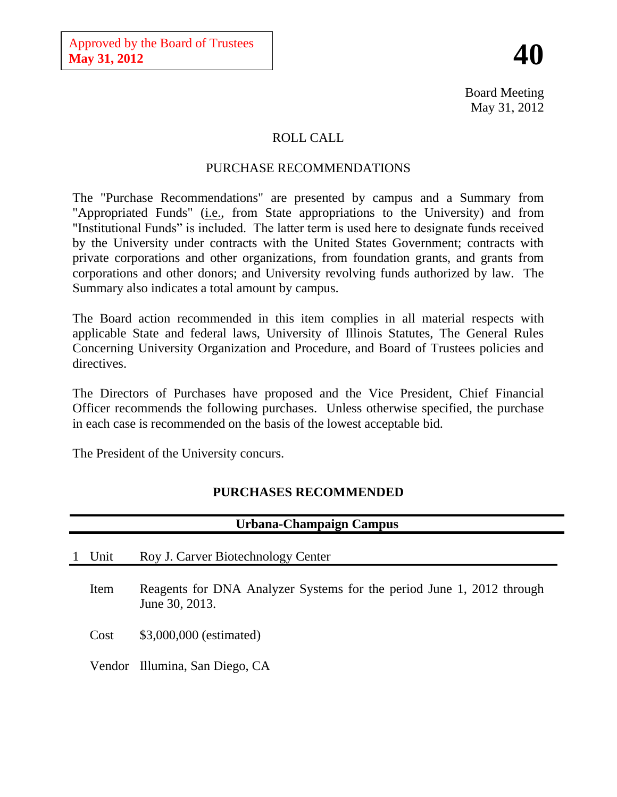# **40**

Board Meeting May 31, 2012

# ROLL CALL

# PURCHASE RECOMMENDATIONS

The "Purchase Recommendations" are presented by campus and a Summary from "Appropriated Funds" (*i.e.*, from State appropriations to the University) and from "Institutional Funds" is included. The latter term is used here to designate funds received by the University under contracts with the United States Government; contracts with private corporations and other organizations, from foundation grants, and grants from corporations and other donors; and University revolving funds authorized by law. The Summary also indicates a total amount by campus.

The Board action recommended in this item complies in all material respects with applicable State and federal laws, University of Illinois Statutes, The General Rules Concerning University Organization and Procedure, and Board of Trustees policies and directives.

The Directors of Purchases have proposed and the Vice President, Chief Financial Officer recommends the following purchases. Unless otherwise specified, the purchase in each case is recommended on the basis of the lowest acceptable bid.

The President of the University concurs.

# **PURCHASES RECOMMENDED**

| Urbana-Champaign Campus |                                                                                         |  |  |
|-------------------------|-----------------------------------------------------------------------------------------|--|--|
| Unit                    | Roy J. Carver Biotechnology Center                                                      |  |  |
| Item                    | Reagents for DNA Analyzer Systems for the period June 1, 2012 through<br>June 30, 2013. |  |  |
| Cost                    | \$3,000,000 (estimated)                                                                 |  |  |
|                         | Vendor Illumina, San Diego, CA                                                          |  |  |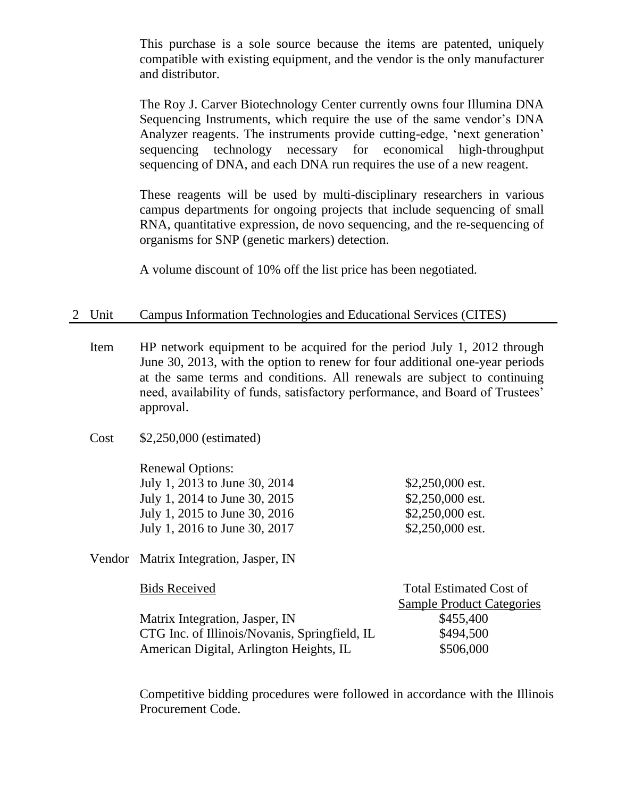This purchase is a sole source because the items are patented, uniquely compatible with existing equipment, and the vendor is the only manufacturer and distributor.

The Roy J. Carver Biotechnology Center currently owns four Illumina DNA Sequencing Instruments, which require the use of the same vendor's DNA Analyzer reagents. The instruments provide cutting-edge, 'next generation' sequencing technology necessary for economical high-throughput sequencing of DNA, and each DNA run requires the use of a new reagent.

These reagents will be used by multi-disciplinary researchers in various campus departments for ongoing projects that include sequencing of small RNA, quantitative expression, de novo sequencing, and the re-sequencing of organisms for SNP (genetic markers) detection.

A volume discount of 10% off the list price has been negotiated.

# 2 Unit Campus Information Technologies and Educational Services (CITES)

- Item HP network equipment to be acquired for the period July 1, 2012 through June 30, 2013, with the option to renew for four additional one-year periods at the same terms and conditions. All renewals are subject to continuing need, availability of funds, satisfactory performance, and Board of Trustees' approval.
- Cost \$2,250,000 (estimated)

Renewal Options: July 1, 2013 to June 30, 2014 \$2,250,000 est. July 1, 2014 to June 30, 2015 \$2,250,000 est. July 1, 2015 to June 30, 2016 \$2,250,000 est. July 1, 2016 to June 30, 2017 \$2,250,000 est.

Vendor Matrix Integration, Jasper, IN

| <b>Bids Received</b>                          | <b>Total Estimated Cost of</b>   |  |
|-----------------------------------------------|----------------------------------|--|
|                                               | <b>Sample Product Categories</b> |  |
| Matrix Integration, Jasper, IN                | \$455,400                        |  |
| CTG Inc. of Illinois/Novanis, Springfield, IL | \$494,500                        |  |
| American Digital, Arlington Heights, IL       | \$506,000                        |  |

Competitive bidding procedures were followed in accordance with the Illinois Procurement Code.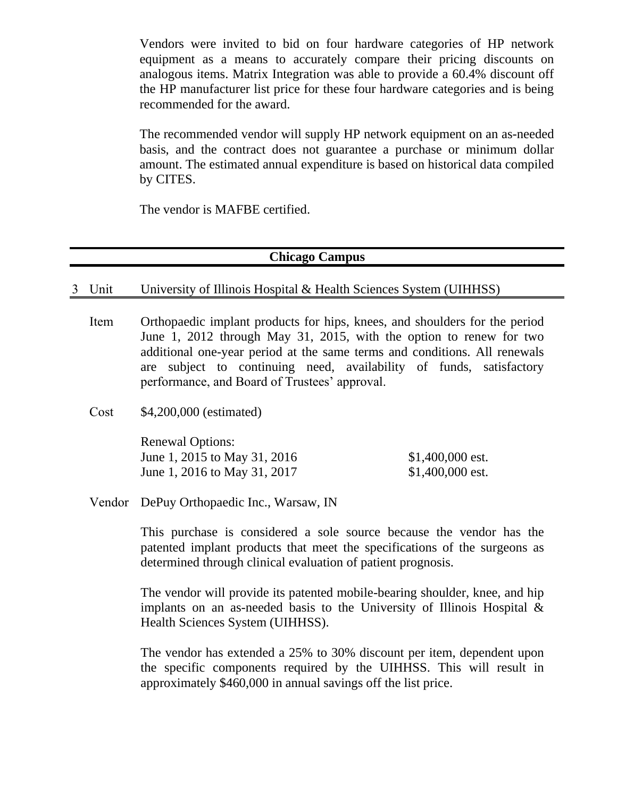Vendors were invited to bid on four hardware categories of HP network equipment as a means to accurately compare their pricing discounts on analogous items. Matrix Integration was able to provide a 60.4% discount off the HP manufacturer list price for these four hardware categories and is being recommended for the award.

The recommended vendor will supply HP network equipment on an as-needed basis, and the contract does not guarantee a purchase or minimum dollar amount. The estimated annual expenditure is based on historical data compiled by CITES.

The vendor is MAFBE certified.

#### **Chicago Campus**

#### 3 Unit University of Illinois Hospital & Health Sciences System (UIHHSS)

- Item Orthopaedic implant products for hips, knees, and shoulders for the period June 1, 2012 through May 31, 2015, with the option to renew for two additional one-year period at the same terms and conditions. All renewals are subject to continuing need, availability of funds, satisfactory performance, and Board of Trustees' approval.
- Cost \$4,200,000 (estimated)

| <b>Renewal Options:</b>      |                   |
|------------------------------|-------------------|
| June 1, 2015 to May 31, 2016 | $$1,400,000$ est. |
| June 1, 2016 to May 31, 2017 | $$1,400,000$ est. |

Vendor DePuy Orthopaedic Inc., Warsaw, IN

This purchase is considered a sole source because the vendor has the patented implant products that meet the specifications of the surgeons as determined through clinical evaluation of patient prognosis.

The vendor will provide its patented mobile-bearing shoulder, knee, and hip implants on an as-needed basis to the University of Illinois Hospital & Health Sciences System (UIHHSS).

The vendor has extended a 25% to 30% discount per item, dependent upon the specific components required by the UIHHSS. This will result in approximately \$460,000 in annual savings off the list price.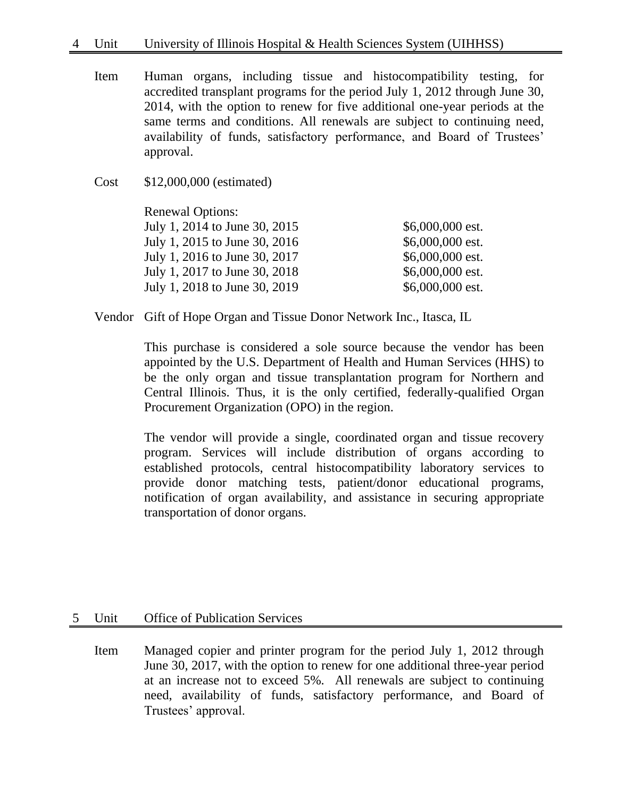- Item Human organs, including tissue and histocompatibility testing, for accredited transplant programs for the period July 1, 2012 through June 30, 2014, with the option to renew for five additional one-year periods at the same terms and conditions. All renewals are subject to continuing need, availability of funds, satisfactory performance, and Board of Trustees' approval.
- Cost \$12,000,000 (estimated)

Renewal Options: July 1, 2014 to June 30, 2015 \$6,000,000 est. July 1, 2015 to June 30, 2016 \$6,000,000 est. July 1, 2016 to June 30, 2017 \$6,000,000 est. July 1, 2017 to June 30, 2018 \$6,000,000 est. July 1, 2018 to June 30, 2019 \$6,000,000 est.

Vendor Gift of Hope Organ and Tissue Donor Network Inc., Itasca, IL

This purchase is considered a sole source because the vendor has been appointed by the U.S. Department of Health and Human Services (HHS) to be the only organ and tissue transplantation program for Northern and Central Illinois. Thus, it is the only certified, federally-qualified Organ Procurement Organization (OPO) in the region.

The vendor will provide a single, coordinated organ and tissue recovery program. Services will include distribution of organs according to established protocols, central histocompatibility laboratory services to provide donor matching tests, patient/donor educational programs, notification of organ availability, and assistance in securing appropriate transportation of donor organs.

## 5 Unit Office of Publication Services

Item Managed copier and printer program for the period July 1, 2012 through June 30, 2017, with the option to renew for one additional three-year period at an increase not to exceed 5%. All renewals are subject to continuing need, availability of funds, satisfactory performance, and Board of Trustees' approval.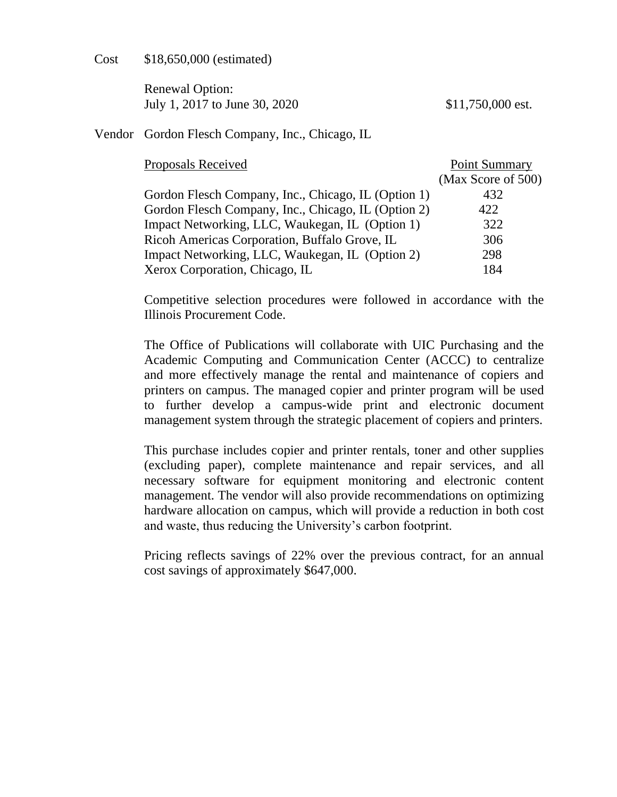Cost \$18,650,000 (estimated)

Renewal Option: July 1, 2017 to June 30, 2020 \$11,750,000 est.

## Vendor Gordon Flesch Company, Inc., Chicago, IL

Proposals Received **Point Summary** 

| Proposais Receiveu                                  | POIIIL SUITIITIAI V |
|-----------------------------------------------------|---------------------|
|                                                     | (Max Score of 500)  |
| Gordon Flesch Company, Inc., Chicago, IL (Option 1) | 432                 |
| Gordon Flesch Company, Inc., Chicago, IL (Option 2) | 422                 |
| Impact Networking, LLC, Waukegan, IL (Option 1)     | 322                 |
| Ricoh Americas Corporation, Buffalo Grove, IL       | 306                 |
| Impact Networking, LLC, Waukegan, IL (Option 2)     | 298                 |
| Xerox Corporation, Chicago, IL                      | 184                 |

Competitive selection procedures were followed in accordance with the Illinois Procurement Code.

The Office of Publications will collaborate with UIC Purchasing and the Academic Computing and Communication Center (ACCC) to centralize and more effectively manage the rental and maintenance of copiers and printers on campus. The managed copier and printer program will be used to further develop a campus-wide print and electronic document management system through the strategic placement of copiers and printers.

This purchase includes copier and printer rentals, toner and other supplies (excluding paper), complete maintenance and repair services, and all necessary software for equipment monitoring and electronic content management. The vendor will also provide recommendations on optimizing hardware allocation on campus, which will provide a reduction in both cost and waste, thus reducing the University's carbon footprint.

Pricing reflects savings of 22% over the previous contract, for an annual cost savings of approximately \$647,000.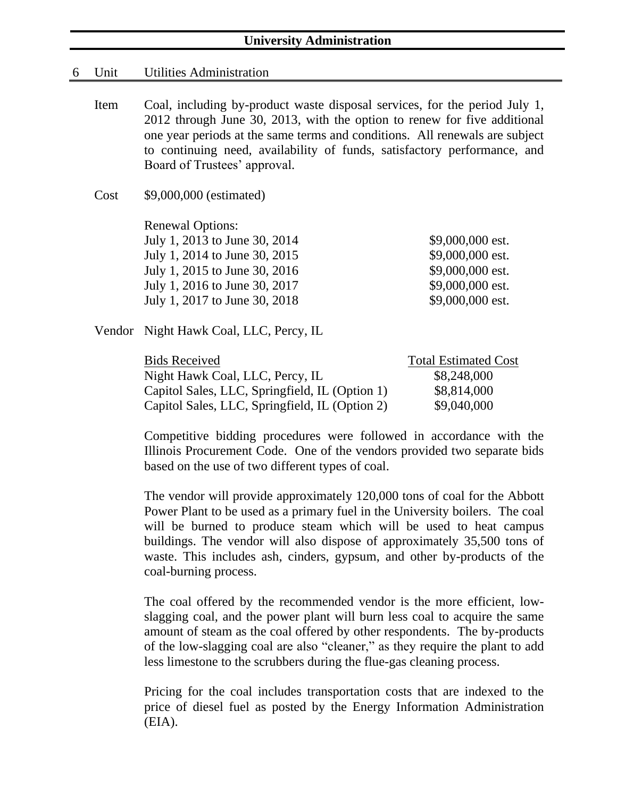## **University Administration**

#### 6 Unit Utilities Administration

- Item Coal, including by-product waste disposal services, for the period July 1, 2012 through June 30, 2013, with the option to renew for five additional one year periods at the same terms and conditions. All renewals are subject to continuing need, availability of funds, satisfactory performance, and Board of Trustees' approval.
- Cost \$9,000,000 (estimated)

Renewal Options: July 1, 2013 to June 30, 2014 \$9,000,000 est. July 1, 2014 to June 30, 2015 \$9,000,000 est. July 1, 2015 to June 30, 2016 \$9,000,000 est. July 1, 2016 to June 30, 2017 \$9,000,000 est. July 1, 2017 to June 30, 2018 \$9,000,000 est.

Vendor Night Hawk Coal, LLC, Percy, IL

| <b>Bids Received</b>                           | <b>Total Estimated Cost</b> |
|------------------------------------------------|-----------------------------|
| Night Hawk Coal, LLC, Percy, IL                | \$8,248,000                 |
| Capitol Sales, LLC, Springfield, IL (Option 1) | \$8,814,000                 |
| Capitol Sales, LLC, Springfield, IL (Option 2) | \$9,040,000                 |

Competitive bidding procedures were followed in accordance with the Illinois Procurement Code. One of the vendors provided two separate bids based on the use of two different types of coal.

The vendor will provide approximately 120,000 tons of coal for the Abbott Power Plant to be used as a primary fuel in the University boilers. The coal will be burned to produce steam which will be used to heat campus buildings. The vendor will also dispose of approximately 35,500 tons of waste. This includes ash, cinders, gypsum, and other by-products of the coal-burning process.

The coal offered by the recommended vendor is the more efficient, lowslagging coal, and the power plant will burn less coal to acquire the same amount of steam as the coal offered by other respondents. The by-products of the low-slagging coal are also "cleaner," as they require the plant to add less limestone to the scrubbers during the flue-gas cleaning process.

Pricing for the coal includes transportation costs that are indexed to the price of diesel fuel as posted by the Energy Information Administration (EIA).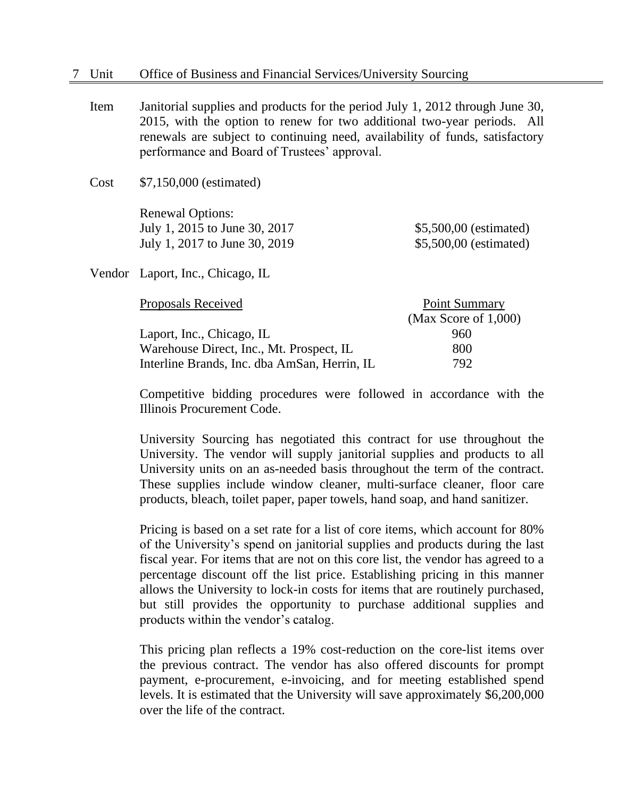Item Janitorial supplies and products for the period July 1, 2012 through June 30, 2015, with the option to renew for two additional two-year periods. All renewals are subject to continuing need, availability of funds, satisfactory performance and Board of Trustees' approval.

Cost \$7,150,000 (estimated)

Renewal Options: July 1, 2015 to June 30, 2017 \$5,500,00 (estimated) July 1, 2017 to June 30, 2019 \$5,500,00 (estimated)

Vendor Laport, Inc., Chicago, IL

| Proposals Received                           | Point Summary           |
|----------------------------------------------|-------------------------|
|                                              | (Max Score of $1,000$ ) |
| Laport, Inc., Chicago, IL                    | 960                     |
| Warehouse Direct, Inc., Mt. Prospect, IL     | 800                     |
| Interline Brands, Inc. dba AmSan, Herrin, IL | 792.                    |

Competitive bidding procedures were followed in accordance with the Illinois Procurement Code.

University Sourcing has negotiated this contract for use throughout the University. The vendor will supply janitorial supplies and products to all University units on an as-needed basis throughout the term of the contract. These supplies include window cleaner, multi-surface cleaner, floor care products, bleach, toilet paper, paper towels, hand soap, and hand sanitizer.

Pricing is based on a set rate for a list of core items, which account for 80% of the University's spend on janitorial supplies and products during the last fiscal year. For items that are not on this core list, the vendor has agreed to a percentage discount off the list price. Establishing pricing in this manner allows the University to lock-in costs for items that are routinely purchased, but still provides the opportunity to purchase additional supplies and products within the vendor's catalog.

This pricing plan reflects a 19% cost-reduction on the core-list items over the previous contract. The vendor has also offered discounts for prompt payment, e-procurement, e-invoicing, and for meeting established spend levels. It is estimated that the University will save approximately \$6,200,000 over the life of the contract.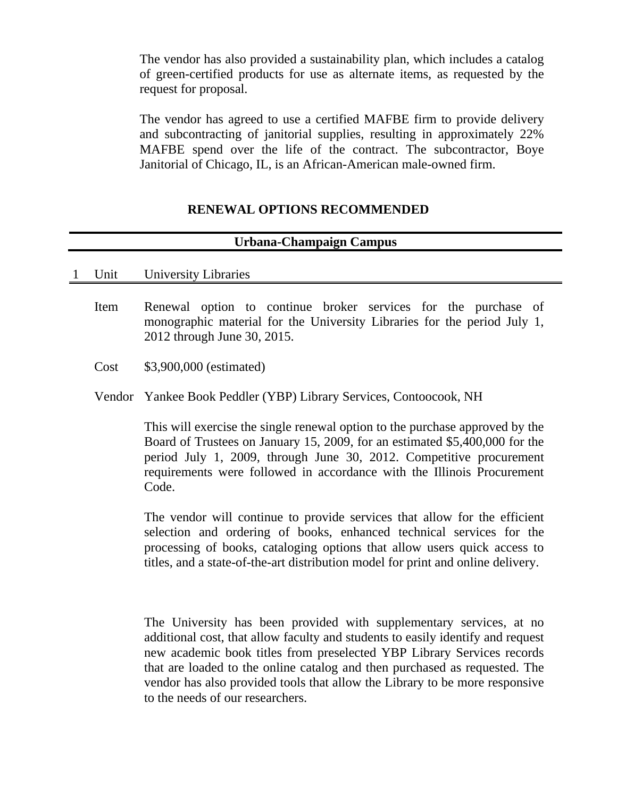The vendor has also provided a sustainability plan, which includes a catalog of green-certified products for use as alternate items, as requested by the request for proposal.

The vendor has agreed to use a certified MAFBE firm to provide delivery and subcontracting of janitorial supplies, resulting in approximately 22% MAFBE spend over the life of the contract. The subcontractor, Boye Janitorial of Chicago, IL, is an African-American male-owned firm.

# **RENEWAL OPTIONS RECOMMENDED**

# **Urbana-Champaign Campus**

#### 1 Unit University Libraries

- Item Renewal option to continue broker services for the purchase of monographic material for the University Libraries for the period July 1, 2012 through June 30, 2015.
- Cost \$3,900,000 (estimated)
- Vendor Yankee Book Peddler (YBP) Library Services, Contoocook, NH

This will exercise the single renewal option to the purchase approved by the Board of Trustees on January 15, 2009, for an estimated \$5,400,000 for the period July 1, 2009, through June 30, 2012. Competitive procurement requirements were followed in accordance with the Illinois Procurement Code.

The vendor will continue to provide services that allow for the efficient selection and ordering of books, enhanced technical services for the processing of books, cataloging options that allow users quick access to titles, and a state-of-the-art distribution model for print and online delivery.

The University has been provided with supplementary services, at no additional cost, that allow faculty and students to easily identify and request new academic book titles from preselected YBP Library Services records that are loaded to the online catalog and then purchased as requested. The vendor has also provided tools that allow the Library to be more responsive to the needs of our researchers.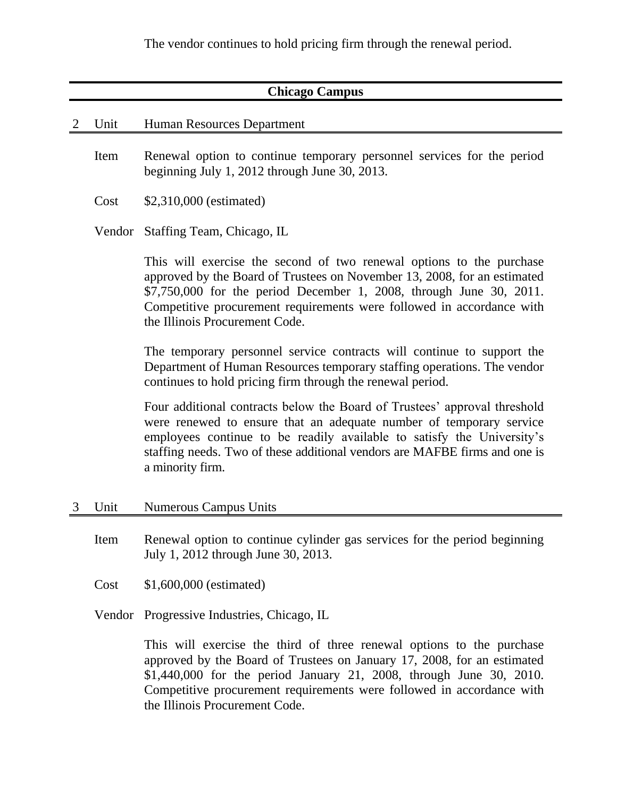The vendor continues to hold pricing firm through the renewal period.

# **Chicago Campus**

#### 2 Unit Human Resources Department

- Item Renewal option to continue temporary personnel services for the period beginning July 1, 2012 through June 30, 2013.
- Cost \$2,310,000 (estimated)

Vendor Staffing Team, Chicago, IL

This will exercise the second of two renewal options to the purchase approved by the Board of Trustees on November 13, 2008, for an estimated \$7,750,000 for the period December 1, 2008, through June 30, 2011. Competitive procurement requirements were followed in accordance with the Illinois Procurement Code.

The temporary personnel service contracts will continue to support the Department of Human Resources temporary staffing operations. The vendor continues to hold pricing firm through the renewal period.

Four additional contracts below the Board of Trustees' approval threshold were renewed to ensure that an adequate number of temporary service employees continue to be readily available to satisfy the University's staffing needs. Two of these additional vendors are MAFBE firms and one is a minority firm.

- 3 Unit Numerous Campus Units
	- Item Renewal option to continue cylinder gas services for the period beginning July 1, 2012 through June 30, 2013.
	- Cost \$1,600,000 (estimated)
	- Vendor Progressive Industries, Chicago, IL

This will exercise the third of three renewal options to the purchase approved by the Board of Trustees on January 17, 2008, for an estimated \$1,440,000 for the period January 21, 2008, through June 30, 2010. Competitive procurement requirements were followed in accordance with the Illinois Procurement Code.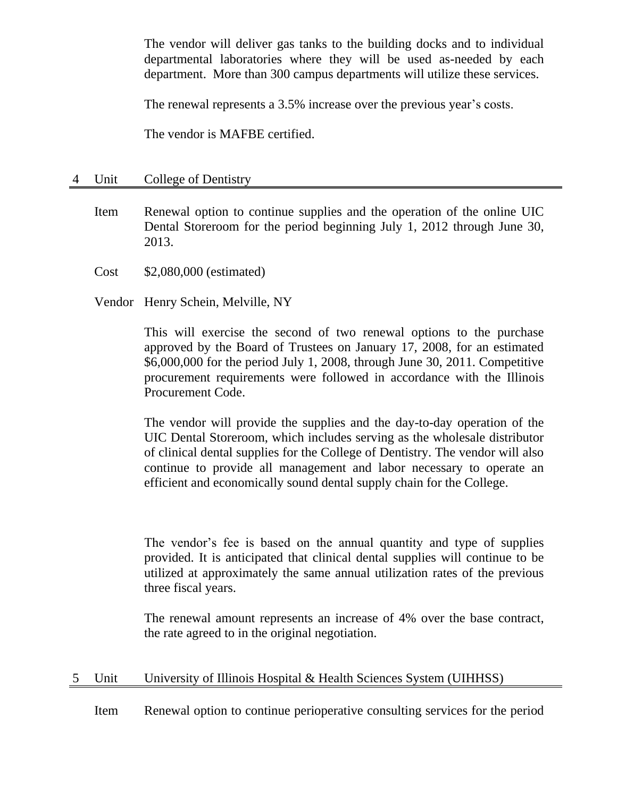The vendor will deliver gas tanks to the building docks and to individual departmental laboratories where they will be used as-needed by each department. More than 300 campus departments will utilize these services.

The renewal represents a 3.5% increase over the previous year's costs.

The vendor is MAFBE certified.

## 4 Unit College of Dentistry

- Item Renewal option to continue supplies and the operation of the online UIC Dental Storeroom for the period beginning July 1, 2012 through June 30, 2013.
- Cost \$2,080,000 (estimated)
- Vendor Henry Schein, Melville, NY

This will exercise the second of two renewal options to the purchase approved by the Board of Trustees on January 17, 2008, for an estimated \$6,000,000 for the period July 1, 2008, through June 30, 2011. Competitive procurement requirements were followed in accordance with the Illinois Procurement Code.

The vendor will provide the supplies and the day-to-day operation of the UIC Dental Storeroom, which includes serving as the wholesale distributor of clinical dental supplies for the College of Dentistry. The vendor will also continue to provide all management and labor necessary to operate an efficient and economically sound dental supply chain for the College.

The vendor's fee is based on the annual quantity and type of supplies provided. It is anticipated that clinical dental supplies will continue to be utilized at approximately the same annual utilization rates of the previous three fiscal years.

The renewal amount represents an increase of 4% over the base contract, the rate agreed to in the original negotiation.

# 5 Unit University of Illinois Hospital & Health Sciences System (UIHHSS)

Item Renewal option to continue perioperative consulting services for the period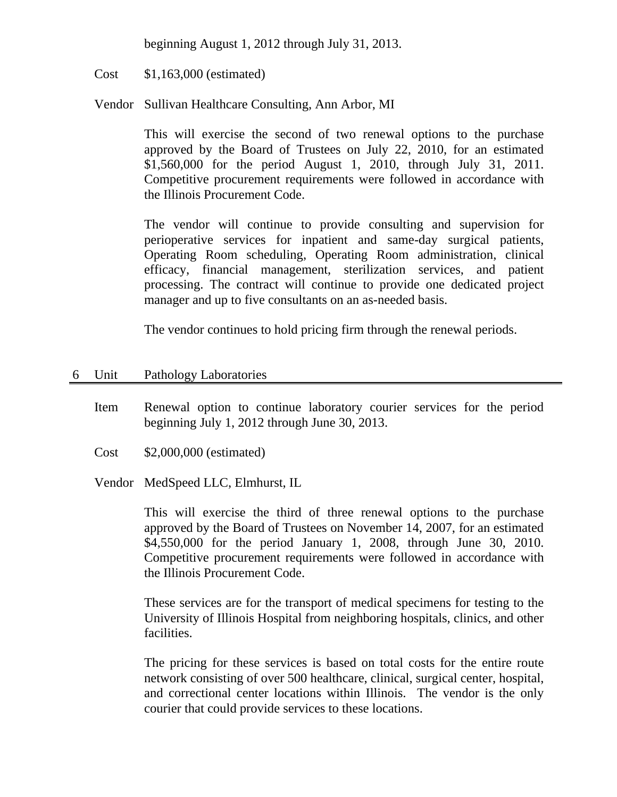beginning August 1, 2012 through July 31, 2013.

Cost \$1,163,000 (estimated)

Vendor Sullivan Healthcare Consulting, Ann Arbor, MI

This will exercise the second of two renewal options to the purchase approved by the Board of Trustees on July 22, 2010, for an estimated \$1,560,000 for the period August 1, 2010, through July 31, 2011. Competitive procurement requirements were followed in accordance with the Illinois Procurement Code.

The vendor will continue to provide consulting and supervision for perioperative services for inpatient and same-day surgical patients, Operating Room scheduling, Operating Room administration, clinical efficacy, financial management, sterilization services, and patient processing. The contract will continue to provide one dedicated project manager and up to five consultants on an as-needed basis.

The vendor continues to hold pricing firm through the renewal periods.

- 6 Unit Pathology Laboratories
	- Item Renewal option to continue laboratory courier services for the period beginning July 1, 2012 through June 30, 2013.
	- Cost \$2,000,000 (estimated)

Vendor MedSpeed LLC, Elmhurst, IL

This will exercise the third of three renewal options to the purchase approved by the Board of Trustees on November 14, 2007, for an estimated \$4,550,000 for the period January 1, 2008, through June 30, 2010. Competitive procurement requirements were followed in accordance with the Illinois Procurement Code.

These services are for the transport of medical specimens for testing to the University of Illinois Hospital from neighboring hospitals, clinics, and other facilities.

The pricing for these services is based on total costs for the entire route network consisting of over 500 healthcare, clinical, surgical center, hospital, and correctional center locations within Illinois. The vendor is the only courier that could provide services to these locations.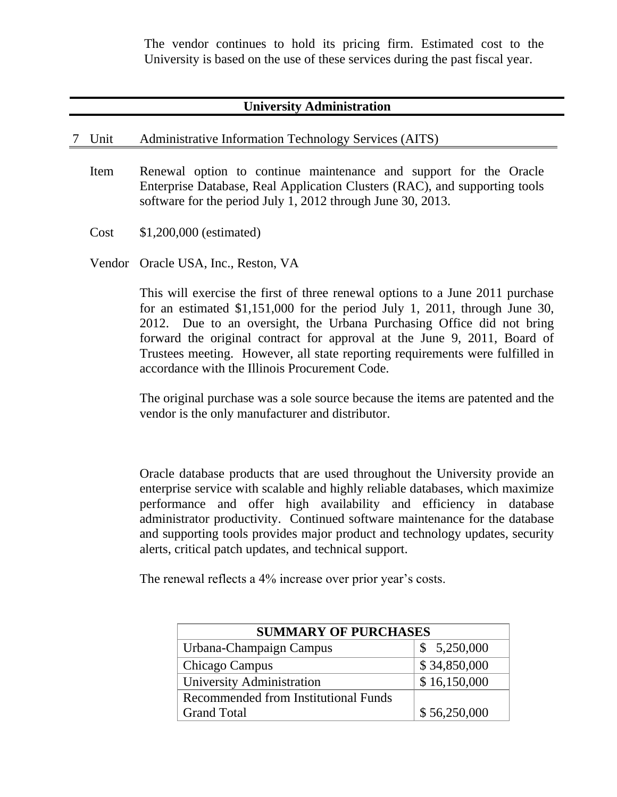The vendor continues to hold its pricing firm. Estimated cost to the University is based on the use of these services during the past fiscal year.

## **University Administration**

#### 7 Unit Administrative Information Technology Services (AITS)

- Item Renewal option to continue maintenance and support for the Oracle Enterprise Database, Real Application Clusters (RAC), and supporting tools software for the period July 1, 2012 through June 30, 2013.
- Cost \$1,200,000 (estimated)
- Vendor Oracle USA, Inc., Reston, VA

This will exercise the first of three renewal options to a June 2011 purchase for an estimated \$1,151,000 for the period July 1, 2011, through June 30, 2012. Due to an oversight, the Urbana Purchasing Office did not bring forward the original contract for approval at the June 9, 2011, Board of Trustees meeting. However, all state reporting requirements were fulfilled in accordance with the Illinois Procurement Code.

The original purchase was a sole source because the items are patented and the vendor is the only manufacturer and distributor.

Oracle database products that are used throughout the University provide an enterprise service with scalable and highly reliable databases, which maximize performance and offer high availability and efficiency in database administrator productivity. Continued software maintenance for the database and supporting tools provides major product and technology updates, security alerts, critical patch updates, and technical support.

The renewal reflects a 4% increase over prior year's costs.

| <b>SUMMARY OF PURCHASES</b>          |              |  |
|--------------------------------------|--------------|--|
| Urbana-Champaign Campus              | \$5,250,000  |  |
| Chicago Campus                       | \$34,850,000 |  |
| University Administration            | \$16,150,000 |  |
| Recommended from Institutional Funds |              |  |
| <b>Grand Total</b>                   | \$56,250,000 |  |